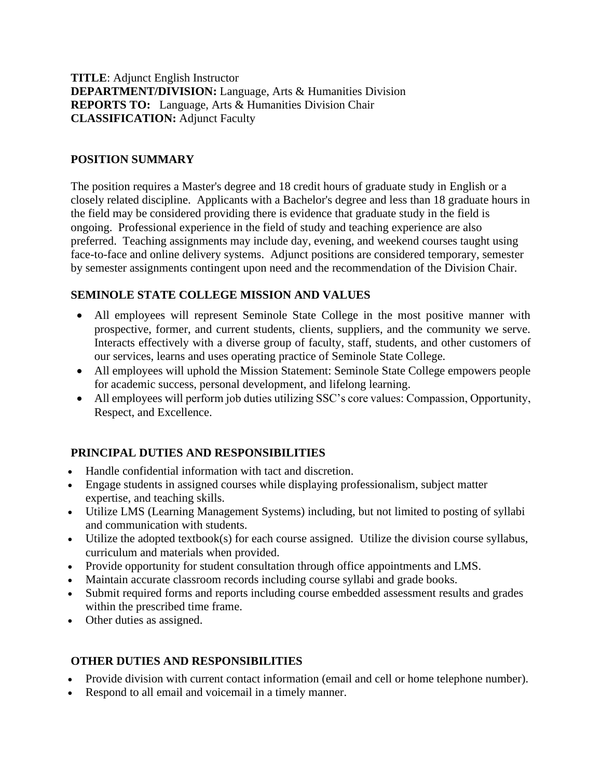**TITLE**: Adjunct English Instructor **DEPARTMENT/DIVISION:** Language, Arts & Humanities Division **REPORTS TO:** Language, Arts & Humanities Division Chair **CLASSIFICATION:** Adjunct Faculty

### **POSITION SUMMARY**

The position requires a Master's degree and 18 credit hours of graduate study in English or a closely related discipline. Applicants with a Bachelor's degree and less than 18 graduate hours in the field may be considered providing there is evidence that graduate study in the field is ongoing. Professional experience in the field of study and teaching experience are also preferred. Teaching assignments may include day, evening, and weekend courses taught using face-to-face and online delivery systems. Adjunct positions are considered temporary, semester by semester assignments contingent upon need and the recommendation of the Division Chair.

### **SEMINOLE STATE COLLEGE MISSION AND VALUES**

- All employees will represent Seminole State College in the most positive manner with prospective, former, and current students, clients, suppliers, and the community we serve. Interacts effectively with a diverse group of faculty, staff, students, and other customers of our services, learns and uses operating practice of Seminole State College.
- All employees will uphold the Mission Statement: Seminole State College empowers people for academic success, personal development, and lifelong learning.
- All employees will perform job duties utilizing SSC's core values: Compassion, Opportunity, Respect, and Excellence.

# **PRINCIPAL DUTIES AND RESPONSIBILITIES**

- Handle confidential information with tact and discretion.
- Engage students in assigned courses while displaying professionalism, subject matter expertise, and teaching skills.
- Utilize LMS (Learning Management Systems) including, but not limited to posting of syllabi and communication with students.
- Utilize the adopted textbook(s) for each course assigned. Utilize the division course syllabus, curriculum and materials when provided.
- Provide opportunity for student consultation through office appointments and LMS.
- Maintain accurate classroom records including course syllabi and grade books.
- Submit required forms and reports including course embedded assessment results and grades within the prescribed time frame.
- Other duties as assigned.

# **OTHER DUTIES AND RESPONSIBILITIES**

- Provide division with current contact information (email and cell or home telephone number).
- Respond to all email and voicemail in a timely manner.